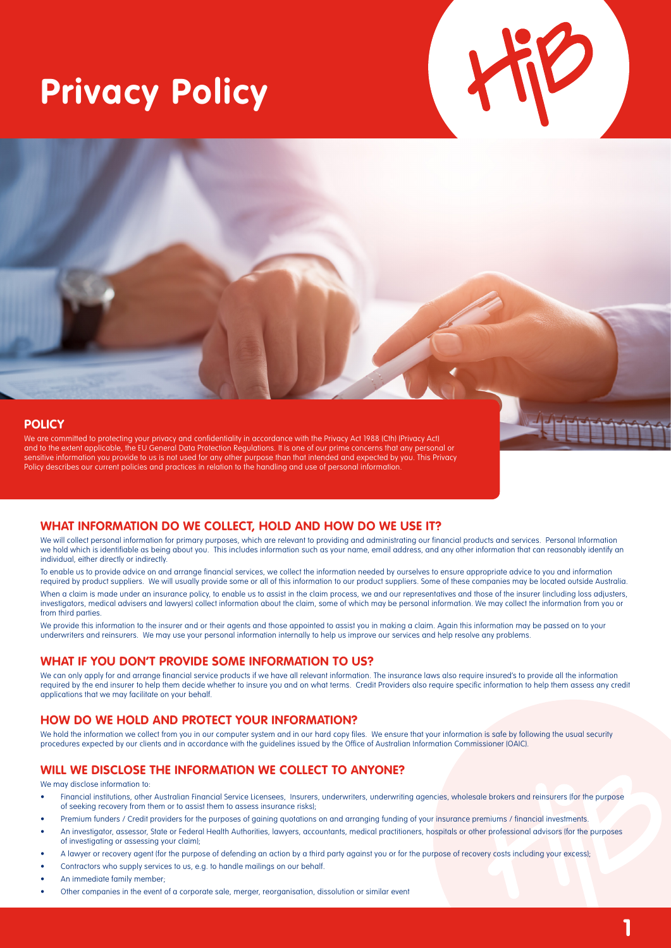# **Privacy Policy**

#### **POLICY**

We are committed to protecting your privacy and confidentiality in accordance with the Privacy Act 1988 (Cth) (Privacy Act) and to the extent applicable, the EU General Data Protection Regulations. It is one of our prime concerns that any personal or sensitive information you provide to us is not used for any other purpose than that intended and expected by you. This Privacy Policy describes our current policies and practices in relation to the handling and use of personal information.

#### **WHAT INFORMATION DO WE COLLECT, HOLD AND HOW DO WE USE IT?**

We will collect personal information for primary purposes, which are relevant to providing and administrating our financial products and services. Personal Information we hold which is identifiable as being about you. This includes information such as your name, email address, and any other information that can reasonably identify an individual, either directly or indirectly.

To enable us to provide advice on and arrange financial services, we collect the information needed by ourselves to ensure appropriate advice to you and information required by product suppliers. We will usually provide some or all of this information to our product suppliers. Some of these companies may be located outside Australia.

When a claim is made under an insurance policy, to enable us to assist in the claim process, we and our representatives and those of the insurer (including loss adjusters, investigators, medical advisers and lawyers) collect information about the claim, some of which may be personal information. We may collect the information from you or from third parties.

We provide this information to the insurer and or their agents and those appointed to assist you in making a claim. Again this information may be passed on to your underwriters and reinsurers. We may use your personal information internally to help us improve our services and help resolve any problems.

#### **WHAT IF YOU DON'T PROVIDE SOME INFORMATION TO US?**

We can only apply for and arrange financial service products if we have all relevant information. The insurance laws also require insured's to provide all the information required by the end insurer to help them decide whether to insure you and on what terms. Credit Providers also require specific information to help them assess any credit applications that we may facilitate on your behalf.

## **HOW DO WE HOLD AND PROTECT YOUR INFORMATION?**

We hold the information we collect from you in our computer system and in our hard copy files. We ensure that your information is safe by following the usual security procedures expected by our clients and in accordance with the guidelines issued by the Office of Australian Information Commissioner (OAIC).

## **WILL WE DISCLOSE THE INFORMATION WE COLLECT TO ANYONE?**

We may disclose information to:

- Financial institutions, other Australian Financial Service Licensees, Insurers, underwriters, underwriting agencies, wholesale brokers and reinsurers (for the purpose of seeking recovery from them or to assist them to assess insurance risks);
- Premium funders / Credit providers for the purposes of gaining quotations on and arranging funding of your insurance premiums / financial investments.
- An investigator, assessor, State or Federal Health Authorities, lawyers, accountants, medical practitioners, hospitals or other professional advisors (for the purposes of investigating or assessing your claim);
- A lawyer or recovery agent (for the purpose of defending an action by a third party against you or for the purpose of recovery costs including your excess);
- Contractors who supply services to us, e.g. to handle mailings on our behalf.
- An immediate family member;
- Other companies in the event of a corporate sale, merger, reorganisation, dissolution or similar event

**1**